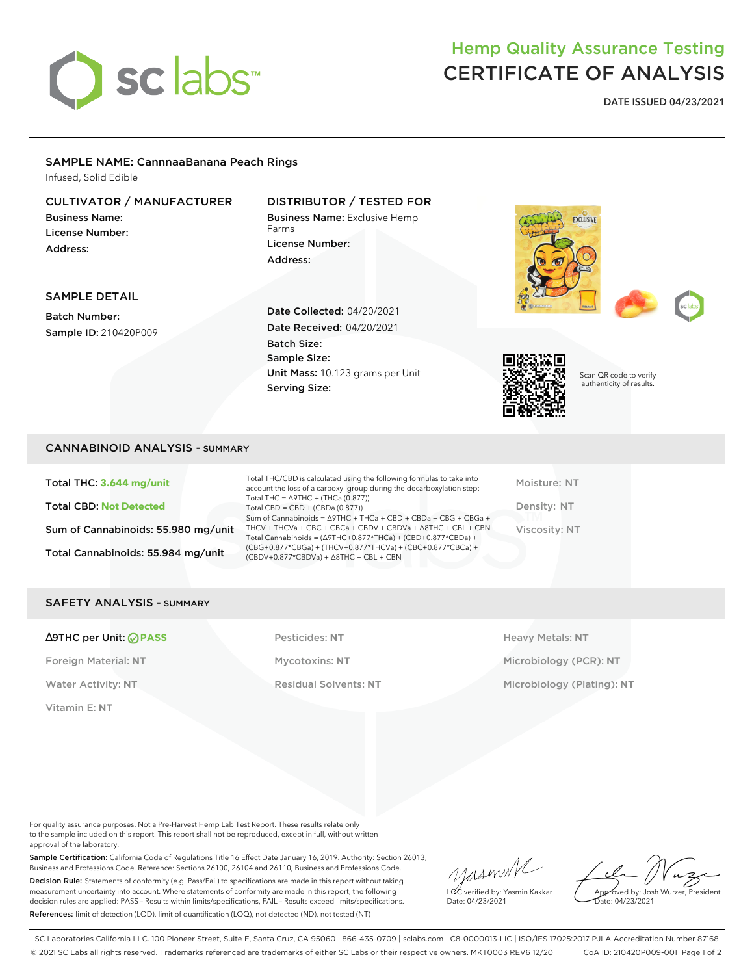

# Hemp Quality Assurance Testing CERTIFICATE OF ANALYSIS

**DATE ISSUED 04/23/2021**

## SAMPLE NAME: CannnaaBanana Peach Rings

Infused, Solid Edible

## CULTIVATOR / MANUFACTURER

Business Name: License Number: Address:

## DISTRIBUTOR / TESTED FOR

Business Name: Exclusive Hemp Farms License Number: Address:



### SAMPLE DETAIL

Batch Number: Sample ID: 210420P009 Date Collected: 04/20/2021 Date Received: 04/20/2021 Batch Size: Sample Size: Unit Mass: 10.123 grams per Unit Serving Size:



Scan QR code to verify authenticity of results.

#### CANNABINOID ANALYSIS - SUMMARY

Total THC: **3.644 mg/unit** Total CBD: **Not Detected** Sum of Cannabinoids: 55.980 mg/unit Total Cannabinoids: 55.984 mg/unit

Total THC/CBD is calculated using the following formulas to take into account the loss of a carboxyl group during the decarboxylation step: Total THC = ∆9THC + (THCa (0.877)) Total CBD = CBD + (CBDa (0.877)) Sum of Cannabinoids = ∆9THC + THCa + CBD + CBDa + CBG + CBGa + THCV + THCVa + CBC + CBCa + CBDV + CBDVa + ∆8THC + CBL + CBN Total Cannabinoids = (∆9THC+0.877\*THCa) + (CBD+0.877\*CBDa) + (CBG+0.877\*CBGa) + (THCV+0.877\*THCVa) + (CBC+0.877\*CBCa) + (CBDV+0.877\*CBDVa) + ∆8THC + CBL + CBN

Moisture: NT Density: NT Viscosity: NT

#### SAFETY ANALYSIS - SUMMARY

#### ∆9THC per Unit: **PASS** Pesticides: **NT** Heavy Metals: **NT**

Vitamin E: **NT**

Water Activity: NT **Residual Solvents: NT** Microbiology (Plating): NT

Foreign Material: **NT** Mycotoxins: **NT** Microbiology (PCR): **NT**

For quality assurance purposes. Not a Pre-Harvest Hemp Lab Test Report. These results relate only to the sample included on this report. This report shall not be reproduced, except in full, without written approval of the laboratory.

Sample Certification: California Code of Regulations Title 16 Effect Date January 16, 2019. Authority: Section 26013, Business and Professions Code. Reference: Sections 26100, 26104 and 26110, Business and Professions Code. Decision Rule: Statements of conformity (e.g. Pass/Fail) to specifications are made in this report without taking measurement uncertainty into account. Where statements of conformity are made in this report, the following decision rules are applied: PASS – Results within limits/specifications, FAIL – Results exceed limits/specifications. References: limit of detection (LOD), limit of quantification (LOQ), not detected (ND), not tested (NT)

yasmin/ LQC verified by: Yasmin Kakkar Date: 04/23/2021

Approved by: Josh Wurzer, President Date: 04/23/2021

SC Laboratories California LLC. 100 Pioneer Street, Suite E, Santa Cruz, CA 95060 | 866-435-0709 | sclabs.com | C8-0000013-LIC | ISO/IES 17025:2017 PJLA Accreditation Number 87168 © 2021 SC Labs all rights reserved. Trademarks referenced are trademarks of either SC Labs or their respective owners. MKT0003 REV6 12/20 CoA ID: 210420P009-001 Page 1 of 2